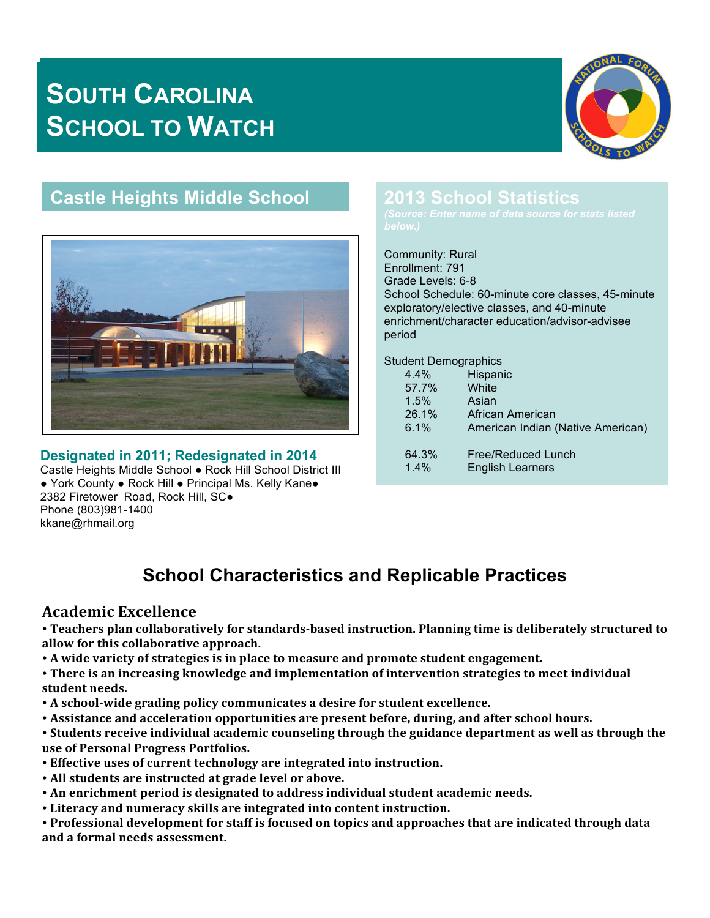# **SOUTH CAROLINA SCHOOL TO WATCH**



# **Castle Heights Middle School**



#### **Designated in 2011; Redesignated in 2014**

School Web Site: http://gcms.eagleschools.net

Castle Heights Middle School ● Rock Hill School District III ● York County ● Rock Hill ● Principal Ms. Kelly Kane● 2382 Firetower Road, Rock Hill, SC. Phone (803)981-1400 kkane@rhmail.org

# **2013 School Statistics**

Community: Rural Enrollment: 791 Grade Levels: 6-8 School Schedule: 60-minute core classes, 45-minute exploratory/elective classes, and 40-minute enrichment/character education/advisor-advisee period

Student Demographics

| $4.4\%$ | Hispanic                          |
|---------|-----------------------------------|
| 57.7%   | White                             |
| 1.5%    | Asian                             |
| 26.1%   | African American                  |
| 6.1%    | American Indian (Native American) |
|         |                                   |
| 64.3%   | Free/Reduced Lunch                |
| $1.4\%$ | <b>English Learners</b>           |
|         |                                   |

# **School Characteristics and Replicable Practices**

#### **Academic Excellence**

• Teachers plan collaboratively for standards-based instruction. Planning time is deliberately structured to **allow for this collaborative approach.**

• A wide variety of strategies is in place to measure and promote student engagement.

• There is an increasing knowledge and implementation of intervention strategies to meet individual student needs.

- A school-wide grading policy communicates a desire for student excellence.
- Assistance and acceleration opportunities are present before, during, and after school hours.
- Students receive individual academic counseling through the guidance department as well as through the **use of Personal Progress Portfolios.**
- **Effective uses of current technology are integrated into instruction.**
- All students are instructed at grade level or above.
- An enrichment period is designated to address individual student academic needs.
- **Literacy and numeracy skills are integrated into content instruction.**

• Professional development for staff is focused on topics and approaches that are indicated through data **and a formal needs assessment.**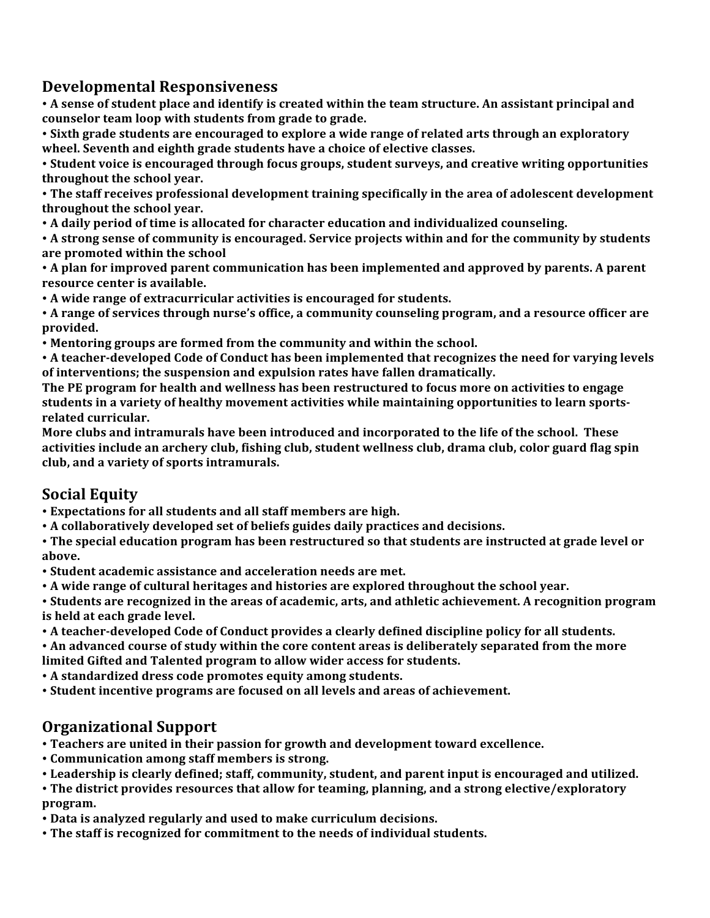## **Developmental Responsiveness**

• A sense of student place and identify is created within the team structure. An assistant principal and counselor team loop with students from grade to grade.

• Sixth grade students are encouraged to explore a wide range of related arts through an exploratory **wheel. Seventh and eighth grade students have a choice of elective classes.**

• Student voice is encouraged through focus groups, student surveys, and creative writing opportunities throughout the school year.

• The staff receives professional development training specifically in the area of adolescent development **throughout** the school year.

• A daily period of time is allocated for character education and individualized counseling.

• A strong sense of community is encouraged. Service projects within and for the community by students are promoted within the school

• A plan for improved parent communication has been implemented and approved by parents. A parent **resource center is available.** 

• A wide range of extracurricular activities is encouraged for students.

• A range of services through nurse's office, a community counseling program, and a resource officer are **provided.**

• Mentoring groups are formed from the community and within the school.

• A teacher-developed Code of Conduct has been implemented that recognizes the need for varying levels of interventions; the suspension and expulsion rates have fallen dramatically.

**The PE program for health and wellness has been restructured to focus more on activities to engage** students in a variety of healthy movement activities while maintaining opportunities to learn sportsrelated curricular.

**More clubs and intramurals have been introduced and incorporated to the life of the school. These** activities include an archery club, fishing club, student wellness club, drama club, color guard flag spin club, and a variety of sports intramurals.

### **Social Equity**

• Expectations for all students and all staff members are high.

• A collaboratively developed set of beliefs guides daily practices and decisions.

• The special education program has been restructured so that students are instructed at grade level or **above.**

• Student academic assistance and acceleration needs are met.

• A wide range of cultural heritages and histories are explored throughout the school year.

• Students are recognized in the areas of academic, arts, and athletic achievement. A recognition program **is held at each grade level.** 

• A teacher-developed Code of Conduct provides a clearly defined discipline policy for all students.

• An advanced course of study within the core content areas is deliberately separated from the more limited Gifted and Talented program to allow wider access for students.

• A standardized dress code promotes equity among students.

• Student incentive programs are focused on all levels and areas of achievement.

### **Organizational Support**

• Teachers are united in their passion for growth and development toward excellence.

- Communication among staff members is strong.
- Leadership is clearly defined; staff, community, student, and parent input is encouraged and utilized.

• The district provides resources that allow for teaming, planning, and a strong elective/exploratory **program.**

• Data is analyzed regularly and used to make curriculum decisions.

• The staff is recognized for commitment to the needs of individual students.